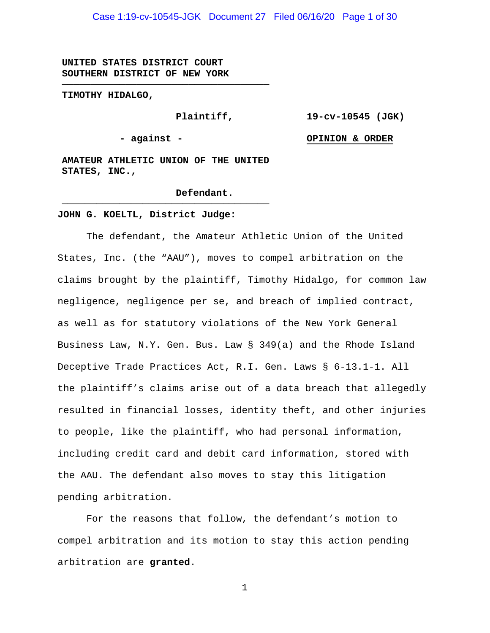Case 1:19-cv-10545-JGK Document 27 Filed 06/16/20 Page 1 of 30

**UNITED STATES DISTRICT COURT SOUTHERN DISTRICT OF NEW YORK**

**TIMOTHY HIDALGO,**

**Plaintiff,**

**19-cv-10545 (JGK)**

**- against -**

**OPINION & ORDER**

**AMATEUR ATHLETIC UNION OF THE UNITED STATES, INC.,**

**────────────────────────────────────**

**────────────────────────────────────**

#### **Defendant.**

#### **JOHN G. KOELTL, District Judge:**

The defendant, the Amateur Athletic Union of the United States, Inc. (the "AAU"), moves to compel arbitration on the claims brought by the plaintiff, Timothy Hidalgo, for common law negligence, negligence per se, and breach of implied contract, as well as for statutory violations of the New York General Business Law, N.Y. Gen. Bus. Law § 349(a) and the Rhode Island Deceptive Trade Practices Act, R.I. Gen. Laws § 6-13.1-1. All the plaintiff's claims arise out of a data breach that allegedly resulted in financial losses, identity theft, and other injuries to people, like the plaintiff, who had personal information, including credit card and debit card information, stored with the AAU. The defendant also moves to stay this litigation pending arbitration.

For the reasons that follow, the defendant's motion to compel arbitration and its motion to stay this action pending arbitration are **granted**.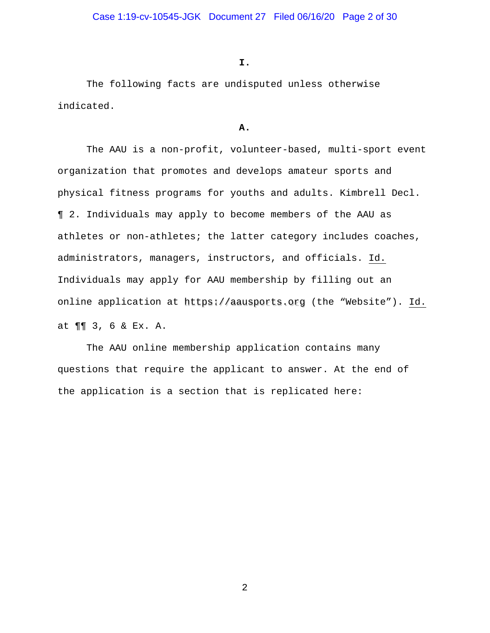#### **I.**

The following facts are undisputed unless otherwise indicated.

# **A.**

The AAU is a non-profit, volunteer-based, multi-sport event organization that promotes and develops amateur sports and physical fitness programs for youths and adults. Kimbrell Decl. ¶ 2. Individuals may apply to become members of the AAU as athletes or non-athletes; the latter category includes coaches, administrators, managers, instructors, and officials. Id. Individuals may apply for AAU membership by filling out an online application at https://aausports.org (the "Website"). Id. at ¶¶ 3, 6 & Ex. A.

The AAU online membership application contains many questions that require the applicant to answer. At the end of the application is a section that is replicated here: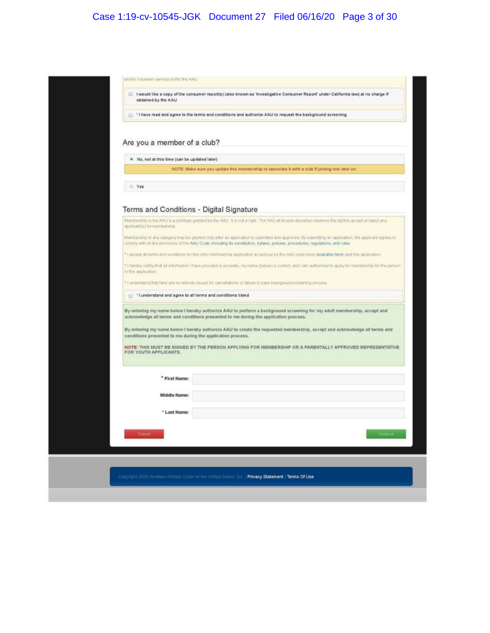# Case 1:19-cv-10545-JGK Document 27 Filed 06/16/20 Page 3 of 30

| obtained by the AAU                                                                                      | I would like a copy of the consumer report(s) (also known as 'investigative Consumer Report' under California law) at no charge if                                                                                                                                                                                                          |
|----------------------------------------------------------------------------------------------------------|---------------------------------------------------------------------------------------------------------------------------------------------------------------------------------------------------------------------------------------------------------------------------------------------------------------------------------------------|
| "I have read and agree to the terms and conditions and authorize AAU to request the background screening |                                                                                                                                                                                                                                                                                                                                             |
| Are you a member of a club?                                                                              |                                                                                                                                                                                                                                                                                                                                             |
| . No, not at this time (can be updated later)                                                            |                                                                                                                                                                                                                                                                                                                                             |
|                                                                                                          | NOTE: Make sure you update this membership to associate it with a club if joining one later on.                                                                                                                                                                                                                                             |
| C Yes                                                                                                    |                                                                                                                                                                                                                                                                                                                                             |
|                                                                                                          |                                                                                                                                                                                                                                                                                                                                             |
| Terms and Conditions - Digital Signature                                                                 |                                                                                                                                                                                                                                                                                                                                             |
| applicant(s) for membership:                                                                             | Membership in the AAU is a privilege granted by the AAU. It is not a right. The AAU at its sole discretion reserves the nort to accept or reject any                                                                                                                                                                                        |
|                                                                                                          | Membership in any category may be granted only after an application is submitted and approved. By submitting an application, the applicant agrees to<br>comply with all the provisions of the AAU Code, including its constitution, bytaws, policies, procedures, regulations, and rules.                                                   |
|                                                                                                          | * Laccept all terms and conditions for this AAU membership application as laid out by the AAU code book (available here) and this application.                                                                                                                                                                                              |
| in this application                                                                                      | * I hereby certify that all information I have provided is accurate, my name (below) is correct, and I am authorized to apply for membership for the person                                                                                                                                                                                 |
|                                                                                                          | * I understand that here are no refunds issued for cancellations or failure to pass background screening process.                                                                                                                                                                                                                           |
| *1 understand and agree to all terms and conditions listed                                               |                                                                                                                                                                                                                                                                                                                                             |
| conditions presented to me during the application process.                                               | By entering my name below I hereby authorize AAU to perform a background screening for my adult membership, accept and<br>acknowledge all terms and conditions presented to me during the application process.<br>By entering my name below I hereby authorize AAU to create the requested membership, accept and acknowledge all terms and |
| FOR YOUTH APPLICANTS.                                                                                    | NOTE: THIS MUST BE SIGNED BY THE PERSON APPLYING FOR MEMBERSHIP OR A PARENTALLY APPROVED REPRESENTATIVE                                                                                                                                                                                                                                     |
| * First Name:                                                                                            |                                                                                                                                                                                                                                                                                                                                             |
|                                                                                                          |                                                                                                                                                                                                                                                                                                                                             |
|                                                                                                          |                                                                                                                                                                                                                                                                                                                                             |
| <b>Middle Name:</b>                                                                                      |                                                                                                                                                                                                                                                                                                                                             |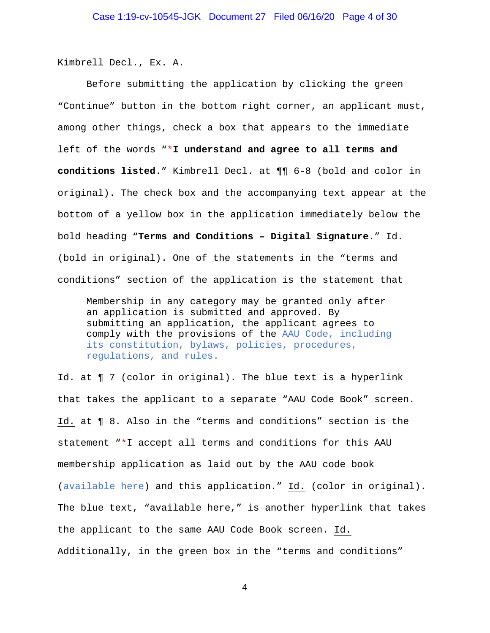Kimbrell Decl., Ex. A.

Before submitting the application by clicking the green "Continue" button in the bottom right corner, an applicant must, among other things, check a box that appears to the immediate left of the words "\***I understand and agree to all terms and conditions listed**." Kimbrell Decl. at ¶¶ 6-8 (bold and color in original). The check box and the accompanying text appear at the bottom of a yellow box in the application immediately below the bold heading "**Terms and Conditions – Digital Signature**." Id. (bold in original). One of the statements in the "terms and conditions" section of the application is the statement that

Membership in any category may be granted only after an application is submitted and approved. By submitting an application, the applicant agrees to comply with the provisions of the AAU Code, including its constitution, bylaws, policies, procedures, regulations, and rules.

Id. at ¶ 7 (color in original). The blue text is a hyperlink that takes the applicant to a separate "AAU Code Book" screen. Id. at ¶ 8. Also in the "terms and conditions" section is the statement "\*I accept all terms and conditions for this AAU membership application as laid out by the AAU code book (available here) and this application." Id. (color in original). The blue text, "available here," is another hyperlink that takes the applicant to the same AAU Code Book screen. Id. Additionally, in the green box in the "terms and conditions"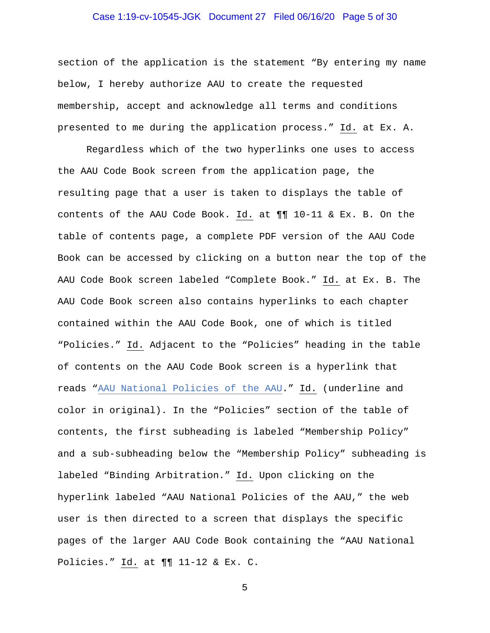# Case 1:19-cv-10545-JGK Document 27 Filed 06/16/20 Page 5 of 30

section of the application is the statement "By entering my name below, I hereby authorize AAU to create the requested membership, accept and acknowledge all terms and conditions presented to me during the application process." Id. at Ex. A.

Regardless which of the two hyperlinks one uses to access the AAU Code Book screen from the application page, the resulting page that a user is taken to displays the table of contents of the AAU Code Book. Id. at ¶¶ 10-11 & Ex. B. On the table of contents page, a complete PDF version of the AAU Code Book can be accessed by clicking on a button near the top of the AAU Code Book screen labeled "Complete Book." Id. at Ex. B. The AAU Code Book screen also contains hyperlinks to each chapter contained within the AAU Code Book, one of which is titled "Policies." Id. Adjacent to the "Policies" heading in the table of contents on the AAU Code Book screen is a hyperlink that reads "AAU National Policies of the AAU." Id. (underline and color in original). In the "Policies" section of the table of contents, the first subheading is labeled "Membership Policy" and a sub-subheading below the "Membership Policy" subheading is labeled "Binding Arbitration." Id. Upon clicking on the hyperlink labeled "AAU National Policies of the AAU," the web user is then directed to a screen that displays the specific pages of the larger AAU Code Book containing the "AAU National Policies." Id. at ¶¶ 11-12 & Ex. C.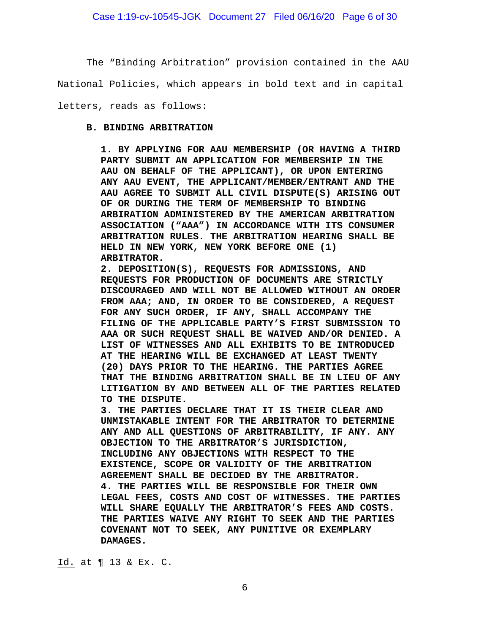The "Binding Arbitration" provision contained in the AAU

National Policies, which appears in bold text and in capital

letters, reads as follows:

#### **B. BINDING ARBITRATION**

**1. BY APPLYING FOR AAU MEMBERSHIP (OR HAVING A THIRD PARTY SUBMIT AN APPLICATION FOR MEMBERSHIP IN THE AAU ON BEHALF OF THE APPLICANT), OR UPON ENTERING ANY AAU EVENT, THE APPLICANT/MEMBER/ENTRANT AND THE AAU AGREE TO SUBMIT ALL CIVIL DISPUTE(S) ARISING OUT OF OR DURING THE TERM OF MEMBERSHIP TO BINDING ARBIRATION ADMINISTERED BY THE AMERICAN ARBITRATION ASSOCIATION ("AAA") IN ACCORDANCE WITH ITS CONSUMER ARBITRATION RULES. THE ARBITRATION HEARING SHALL BE HELD IN NEW YORK, NEW YORK BEFORE ONE (1) ARBITRATOR.**

**2. DEPOSITION(S), REQUESTS FOR ADMISSIONS, AND REQUESTS FOR PRODUCTION OF DOCUMENTS ARE STRICTLY DISCOURAGED AND WILL NOT BE ALLOWED WITHOUT AN ORDER FROM AAA; AND, IN ORDER TO BE CONSIDERED, A REQUEST FOR ANY SUCH ORDER, IF ANY, SHALL ACCOMPANY THE FILING OF THE APPLICABLE PARTY'S FIRST SUBMISSION TO AAA OR SUCH REQUEST SHALL BE WAIVED AND/OR DENIED. A LIST OF WITNESSES AND ALL EXHIBITS TO BE INTRODUCED AT THE HEARING WILL BE EXCHANGED AT LEAST TWENTY (20) DAYS PRIOR TO THE HEARING. THE PARTIES AGREE THAT THE BINDING ARBITRATION SHALL BE IN LIEU OF ANY LITIGATION BY AND BETWEEN ALL OF THE PARTIES RELATED TO THE DISPUTE.**

**3. THE PARTIES DECLARE THAT IT IS THEIR CLEAR AND UNMISTAKABLE INTENT FOR THE ARBITRATOR TO DETERMINE ANY AND ALL QUESTIONS OF ARBITRABILITY, IF ANY. ANY OBJECTION TO THE ARBITRATOR'S JURISDICTION, INCLUDING ANY OBJECTIONS WITH RESPECT TO THE EXISTENCE, SCOPE OR VALIDITY OF THE ARBITRATION AGREEMENT SHALL BE DECIDED BY THE ARBITRATOR. 4. THE PARTIES WILL BE RESPONSIBLE FOR THEIR OWN LEGAL FEES, COSTS AND COST OF WITNESSES. THE PARTIES WILL SHARE EQUALLY THE ARBITRATOR'S FEES AND COSTS. THE PARTIES WAIVE ANY RIGHT TO SEEK AND THE PARTIES COVENANT NOT TO SEEK, ANY PUNITIVE OR EXEMPLARY DAMAGES.**

Id. at ¶ 13 & Ex. C.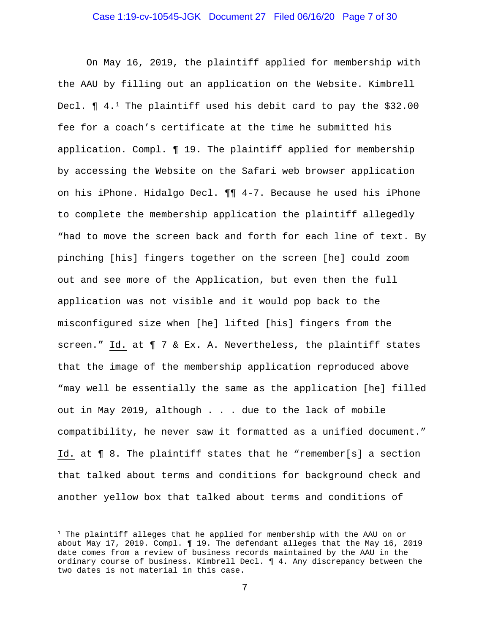#### Case 1:19-cv-10545-JGK Document 27 Filed 06/16/20 Page 7 of 30

On May 16, 2019, the plaintiff applied for membership with the AAU by filling out an application on the Website. Kimbrell Decl.  $\P$  4.<sup>1</sup> The plaintiff used his debit card to pay the \$32.00 fee for a coach's certificate at the time he submitted his application. Compl. ¶ 19. The plaintiff applied for membership by accessing the Website on the Safari web browser application on his iPhone. Hidalgo Decl. ¶¶ 4-7. Because he used his iPhone to complete the membership application the plaintiff allegedly "had to move the screen back and forth for each line of text. By pinching [his] fingers together on the screen [he] could zoom out and see more of the Application, but even then the full application was not visible and it would pop back to the misconfigured size when [he] lifted [his] fingers from the screen." Id. at ¶ 7 & Ex. A. Nevertheless, the plaintiff states that the image of the membership application reproduced above "may well be essentially the same as the application [he] filled out in May 2019, although . . . due to the lack of mobile compatibility, he never saw it formatted as a unified document." Id. at ¶ 8. The plaintiff states that he "remember[s] a section that talked about terms and conditions for background check and another yellow box that talked about terms and conditions of

 $1$  The plaintiff alleges that he applied for membership with the AAU on or about May 17, 2019. Compl. ¶ 19. The defendant alleges that the May 16, 2019 date comes from a review of business records maintained by the AAU in the ordinary course of business. Kimbrell Decl. ¶ 4. Any discrepancy between the two dates is not material in this case.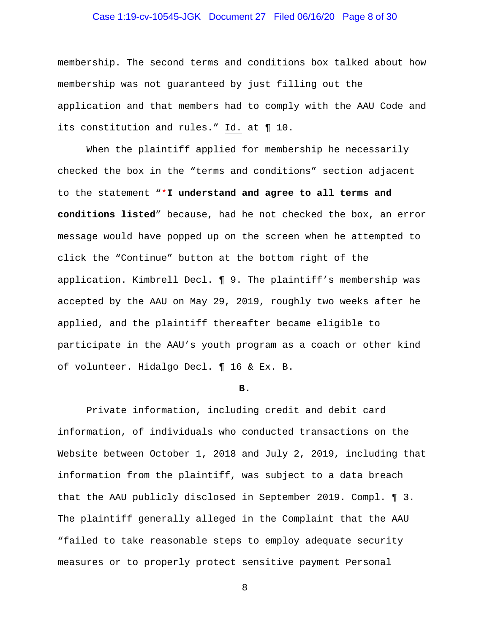# Case 1:19-cv-10545-JGK Document 27 Filed 06/16/20 Page 8 of 30

membership. The second terms and conditions box talked about how membership was not guaranteed by just filling out the application and that members had to comply with the AAU Code and its constitution and rules." Id. at ¶ 10.

When the plaintiff applied for membership he necessarily checked the box in the "terms and conditions" section adjacent to the statement "\***I understand and agree to all terms and conditions listed**" because, had he not checked the box, an error message would have popped up on the screen when he attempted to click the "Continue" button at the bottom right of the application. Kimbrell Decl. ¶ 9. The plaintiff's membership was accepted by the AAU on May 29, 2019, roughly two weeks after he applied, and the plaintiff thereafter became eligible to participate in the AAU's youth program as a coach or other kind of volunteer. Hidalgo Decl. ¶ 16 & Ex. B.

#### **B.**

Private information, including credit and debit card information, of individuals who conducted transactions on the Website between October 1, 2018 and July 2, 2019, including that information from the plaintiff, was subject to a data breach that the AAU publicly disclosed in September 2019. Compl. ¶ 3. The plaintiff generally alleged in the Complaint that the AAU "failed to take reasonable steps to employ adequate security measures or to properly protect sensitive payment Personal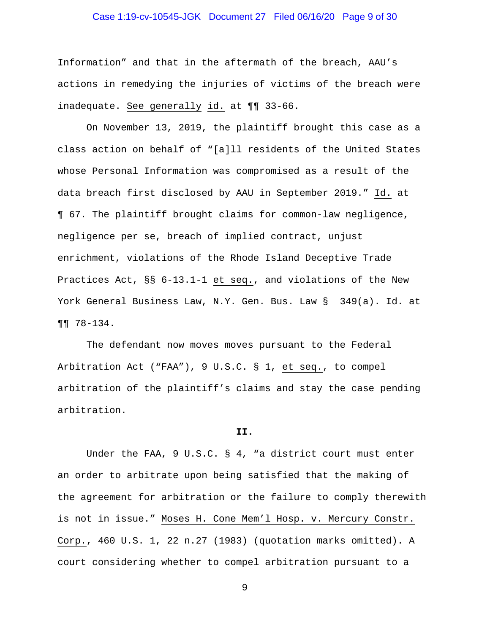# Case 1:19-cv-10545-JGK Document 27 Filed 06/16/20 Page 9 of 30

Information" and that in the aftermath of the breach, AAU's actions in remedying the injuries of victims of the breach were inadequate. See generally id. at ¶¶ 33-66.

On November 13, 2019, the plaintiff brought this case as a class action on behalf of "[a]ll residents of the United States whose Personal Information was compromised as a result of the data breach first disclosed by AAU in September 2019." Id. at ¶ 67. The plaintiff brought claims for common-law negligence, negligence per se, breach of implied contract, unjust enrichment, violations of the Rhode Island Deceptive Trade Practices Act, §§ 6-13.1-1 et seq., and violations of the New York General Business Law, N.Y. Gen. Bus. Law § 349(a). Id. at ¶¶ 78-134.

The defendant now moves moves pursuant to the Federal Arbitration Act ("FAA"), 9 U.S.C. § 1, et seq., to compel arbitration of the plaintiff's claims and stay the case pending arbitration.

#### **II.**

Under the FAA, 9 U.S.C. § 4, "a district court must enter an order to arbitrate upon being satisfied that the making of the agreement for arbitration or the failure to comply therewith is not in issue." Moses H. Cone Mem'l Hosp. v. Mercury Constr. Corp., 460 U.S. 1, 22 n.27 (1983) (quotation marks omitted). A court considering whether to compel arbitration pursuant to a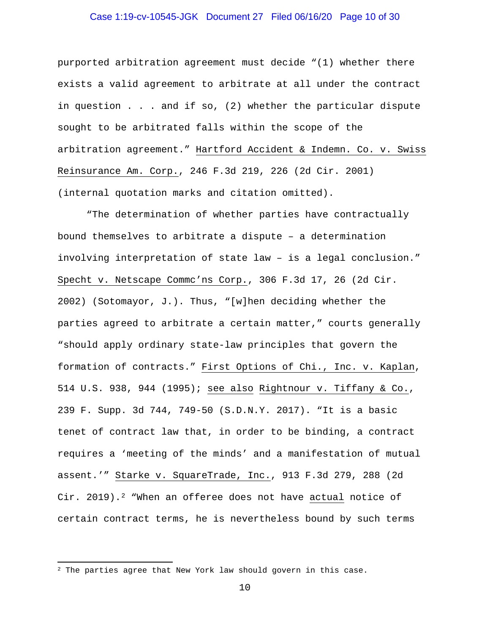# Case 1:19-cv-10545-JGK Document 27 Filed 06/16/20 Page 10 of 30

purported arbitration agreement must decide "(1) whether there exists a valid agreement to arbitrate at all under the contract in question . . . and if so, (2) whether the particular dispute sought to be arbitrated falls within the scope of the arbitration agreement." Hartford Accident & Indemn. Co. v. Swiss Reinsurance Am. Corp., 246 F.3d 219, 226 (2d Cir. 2001) (internal quotation marks and citation omitted).

"The determination of whether parties have contractually bound themselves to arbitrate a dispute – a determination involving interpretation of state law – is a legal conclusion." Specht v. Netscape Commc'ns Corp., 306 F.3d 17, 26 (2d Cir. 2002) (Sotomayor, J.). Thus, "[w]hen deciding whether the parties agreed to arbitrate a certain matter," courts generally "should apply ordinary state-law principles that govern the formation of contracts." First Options of Chi., Inc. v. Kaplan, 514 U.S. 938, 944 (1995); see also Rightnour v. Tiffany & Co., 239 F. Supp. 3d 744, 749-50 (S.D.N.Y. 2017). "It is a basic tenet of contract law that, in order to be binding, a contract requires a 'meeting of the minds' and a manifestation of mutual assent.'" Starke v. SquareTrade, Inc., 913 F.3d 279, 288 (2d Cir. 2019).<sup>2</sup> "When an offeree does not have actual notice of certain contract terms, he is nevertheless bound by such terms

 $2$  The parties agree that New York law should govern in this case.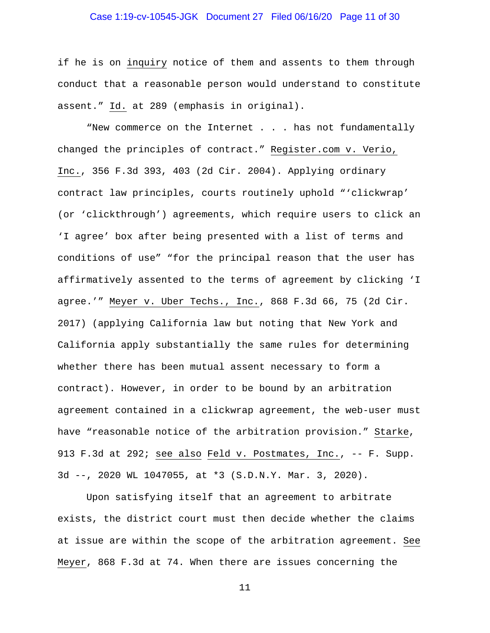# Case 1:19-cv-10545-JGK Document 27 Filed 06/16/20 Page 11 of 30

if he is on inquiry notice of them and assents to them through conduct that a reasonable person would understand to constitute assent." Id. at 289 (emphasis in original).

"New commerce on the Internet . . . has not fundamentally changed the principles of contract." Register.com v. Verio, Inc., 356 F.3d 393, 403 (2d Cir. 2004). Applying ordinary contract law principles, courts routinely uphold "'clickwrap' (or 'clickthrough') agreements, which require users to click an 'I agree' box after being presented with a list of terms and conditions of use" "for the principal reason that the user has affirmatively assented to the terms of agreement by clicking 'I agree.'" Meyer v. Uber Techs., Inc., 868 F.3d 66, 75 (2d Cir. 2017) (applying California law but noting that New York and California apply substantially the same rules for determining whether there has been mutual assent necessary to form a contract). However, in order to be bound by an arbitration agreement contained in a clickwrap agreement, the web-user must have "reasonable notice of the arbitration provision." Starke, 913 F.3d at 292; see also Feld v. Postmates, Inc., -- F. Supp. 3d --, 2020 WL 1047055, at \*3 (S.D.N.Y. Mar. 3, 2020).

Upon satisfying itself that an agreement to arbitrate exists, the district court must then decide whether the claims at issue are within the scope of the arbitration agreement. See Meyer, 868 F.3d at 74. When there are issues concerning the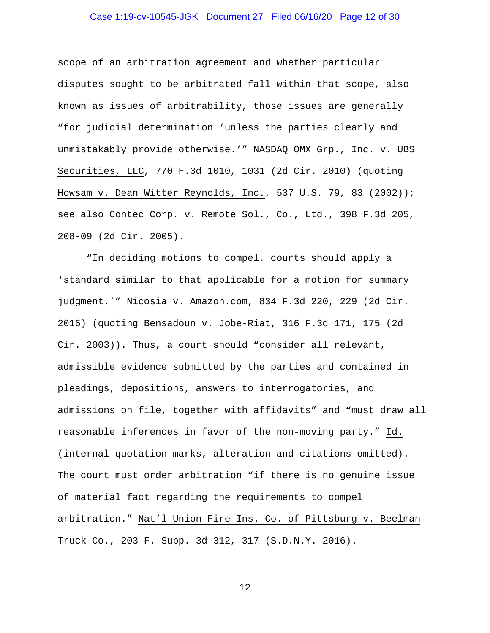# Case 1:19-cv-10545-JGK Document 27 Filed 06/16/20 Page 12 of 30

scope of an arbitration agreement and whether particular disputes sought to be arbitrated fall within that scope, also known as issues of arbitrability, those issues are generally "for judicial determination 'unless the parties clearly and unmistakably provide otherwise.'" NASDAQ OMX Grp., Inc. v. UBS Securities, LLC, 770 F.3d 1010, 1031 (2d Cir. 2010) (quoting Howsam v. Dean Witter Reynolds, Inc., 537 U.S. 79, 83 (2002)); see also Contec Corp. v. Remote Sol., Co., Ltd., 398 F.3d 205, 208-09 (2d Cir. 2005).

"In deciding motions to compel, courts should apply a 'standard similar to that applicable for a motion for summary judgment.'" Nicosia v. Amazon.com, 834 F.3d 220, 229 (2d Cir. 2016) (quoting Bensadoun v. Jobe-Riat, 316 F.3d 171, 175 (2d Cir. 2003)). Thus, a court should "consider all relevant, admissible evidence submitted by the parties and contained in pleadings, depositions, answers to interrogatories, and admissions on file, together with affidavits" and "must draw all reasonable inferences in favor of the non-moving party." Id. (internal quotation marks, alteration and citations omitted). The court must order arbitration "if there is no genuine issue of material fact regarding the requirements to compel arbitration." Nat'l Union Fire Ins. Co. of Pittsburg v. Beelman Truck Co., 203 F. Supp. 3d 312, 317 (S.D.N.Y. 2016).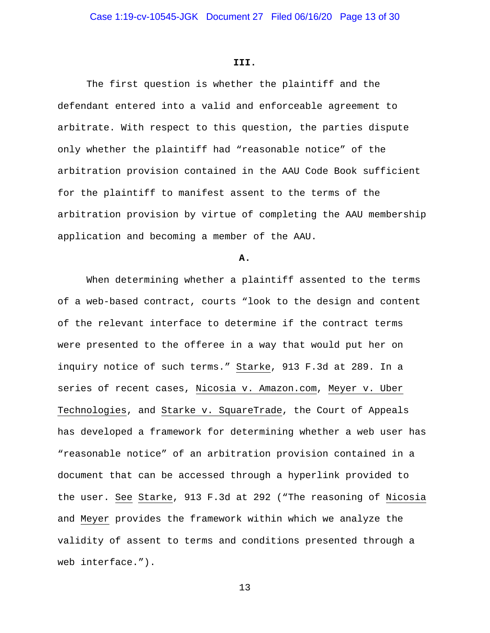#### **III.**

The first question is whether the plaintiff and the defendant entered into a valid and enforceable agreement to arbitrate. With respect to this question, the parties dispute only whether the plaintiff had "reasonable notice" of the arbitration provision contained in the AAU Code Book sufficient for the plaintiff to manifest assent to the terms of the arbitration provision by virtue of completing the AAU membership application and becoming a member of the AAU.

**A.**

When determining whether a plaintiff assented to the terms of a web-based contract, courts "look to the design and content of the relevant interface to determine if the contract terms were presented to the offeree in a way that would put her on inquiry notice of such terms." Starke, 913 F.3d at 289. In a series of recent cases, Nicosia v. Amazon.com, Meyer v. Uber Technologies, and Starke v. SquareTrade, the Court of Appeals has developed a framework for determining whether a web user has "reasonable notice" of an arbitration provision contained in a document that can be accessed through a hyperlink provided to the user. See Starke, 913 F.3d at 292 ("The reasoning of Nicosia and Meyer provides the framework within which we analyze the validity of assent to terms and conditions presented through a web interface.").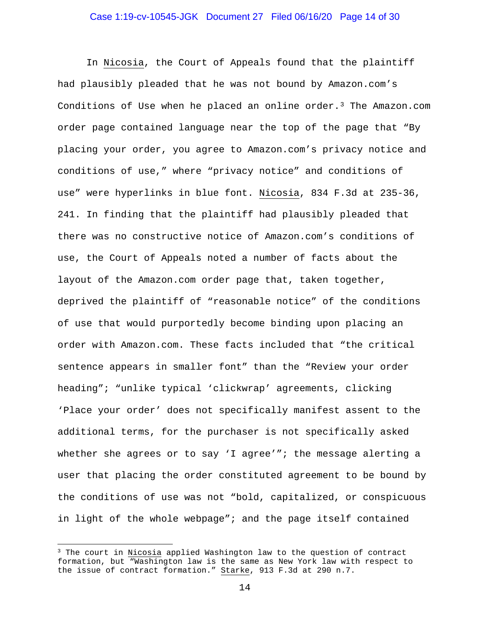# Case 1:19-cv-10545-JGK Document 27 Filed 06/16/20 Page 14 of 30

In Nicosia, the Court of Appeals found that the plaintiff had plausibly pleaded that he was not bound by Amazon.com's Conditions of Use when he placed an online order.<sup>3</sup> The Amazon.com order page contained language near the top of the page that "By placing your order, you agree to Amazon.com's privacy notice and conditions of use," where "privacy notice" and conditions of use" were hyperlinks in blue font. Nicosia, 834 F.3d at 235-36, 241. In finding that the plaintiff had plausibly pleaded that there was no constructive notice of Amazon.com's conditions of use, the Court of Appeals noted a number of facts about the layout of the Amazon.com order page that, taken together, deprived the plaintiff of "reasonable notice" of the conditions of use that would purportedly become binding upon placing an order with Amazon.com. These facts included that "the critical sentence appears in smaller font" than the "Review your order heading"; "unlike typical 'clickwrap' agreements, clicking 'Place your order' does not specifically manifest assent to the additional terms, for the purchaser is not specifically asked whether she agrees or to say 'I agree'"; the message alerting a user that placing the order constituted agreement to be bound by the conditions of use was not "bold, capitalized, or conspicuous in light of the whole webpage"; and the page itself contained

<sup>&</sup>lt;sup>3</sup> The court in Nicosia applied Washington law to the question of contract formation, but "Washington law is the same as New York law with respect to the issue of contract formation." Starke, 913 F.3d at 290 n.7.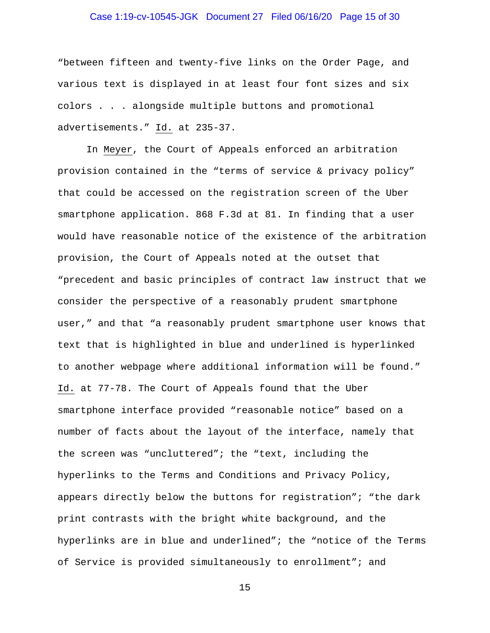# Case 1:19-cv-10545-JGK Document 27 Filed 06/16/20 Page 15 of 30

"between fifteen and twenty-five links on the Order Page, and various text is displayed in at least four font sizes and six colors . . . alongside multiple buttons and promotional advertisements." Id. at 235-37.

In Meyer, the Court of Appeals enforced an arbitration provision contained in the "terms of service & privacy policy" that could be accessed on the registration screen of the Uber smartphone application. 868 F.3d at 81. In finding that a user would have reasonable notice of the existence of the arbitration provision, the Court of Appeals noted at the outset that "precedent and basic principles of contract law instruct that we consider the perspective of a reasonably prudent smartphone user," and that "a reasonably prudent smartphone user knows that text that is highlighted in blue and underlined is hyperlinked to another webpage where additional information will be found." Id. at 77-78. The Court of Appeals found that the Uber smartphone interface provided "reasonable notice" based on a number of facts about the layout of the interface, namely that the screen was "uncluttered"; the "text, including the hyperlinks to the Terms and Conditions and Privacy Policy, appears directly below the buttons for registration"; "the dark print contrasts with the bright white background, and the hyperlinks are in blue and underlined"; the "notice of the Terms of Service is provided simultaneously to enrollment"; and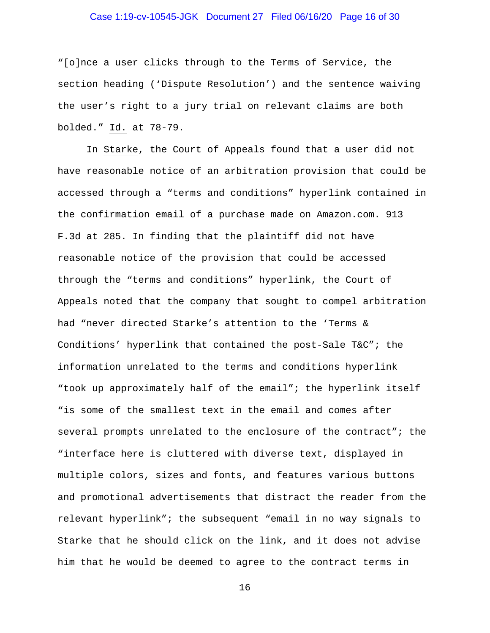# Case 1:19-cv-10545-JGK Document 27 Filed 06/16/20 Page 16 of 30

"[o]nce a user clicks through to the Terms of Service, the section heading ('Dispute Resolution') and the sentence waiving the user's right to a jury trial on relevant claims are both bolded." Id. at 78-79.

In Starke, the Court of Appeals found that a user did not have reasonable notice of an arbitration provision that could be accessed through a "terms and conditions" hyperlink contained in the confirmation email of a purchase made on Amazon.com. 913 F.3d at 285. In finding that the plaintiff did not have reasonable notice of the provision that could be accessed through the "terms and conditions" hyperlink, the Court of Appeals noted that the company that sought to compel arbitration had "never directed Starke's attention to the 'Terms & Conditions' hyperlink that contained the post-Sale T&C"; the information unrelated to the terms and conditions hyperlink "took up approximately half of the email"; the hyperlink itself "is some of the smallest text in the email and comes after several prompts unrelated to the enclosure of the contract"; the "interface here is cluttered with diverse text, displayed in multiple colors, sizes and fonts, and features various buttons and promotional advertisements that distract the reader from the relevant hyperlink"; the subsequent "email in no way signals to Starke that he should click on the link, and it does not advise him that he would be deemed to agree to the contract terms in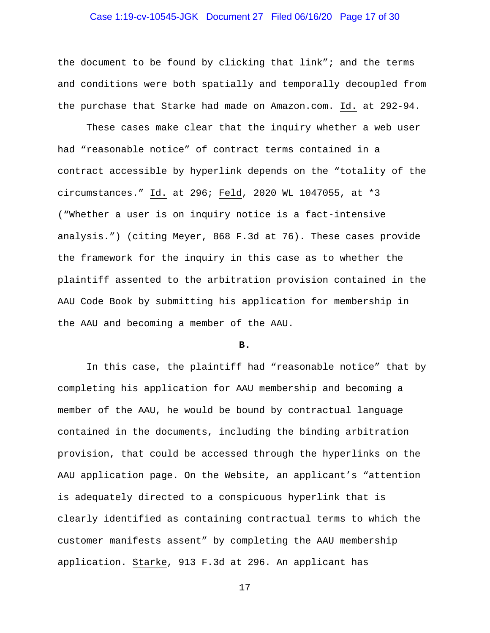# Case 1:19-cv-10545-JGK Document 27 Filed 06/16/20 Page 17 of 30

the document to be found by clicking that link"; and the terms and conditions were both spatially and temporally decoupled from the purchase that Starke had made on Amazon.com. Id. at 292-94.

These cases make clear that the inquiry whether a web user had "reasonable notice" of contract terms contained in a contract accessible by hyperlink depends on the "totality of the circumstances." Id. at 296; Feld, 2020 WL 1047055, at \*3 ("Whether a user is on inquiry notice is a fact-intensive analysis.") (citing Meyer, 868 F.3d at 76). These cases provide the framework for the inquiry in this case as to whether the plaintiff assented to the arbitration provision contained in the AAU Code Book by submitting his application for membership in the AAU and becoming a member of the AAU.

#### **B.**

In this case, the plaintiff had "reasonable notice" that by completing his application for AAU membership and becoming a member of the AAU, he would be bound by contractual language contained in the documents, including the binding arbitration provision, that could be accessed through the hyperlinks on the AAU application page. On the Website, an applicant's "attention is adequately directed to a conspicuous hyperlink that is clearly identified as containing contractual terms to which the customer manifests assent" by completing the AAU membership application. Starke, 913 F.3d at 296. An applicant has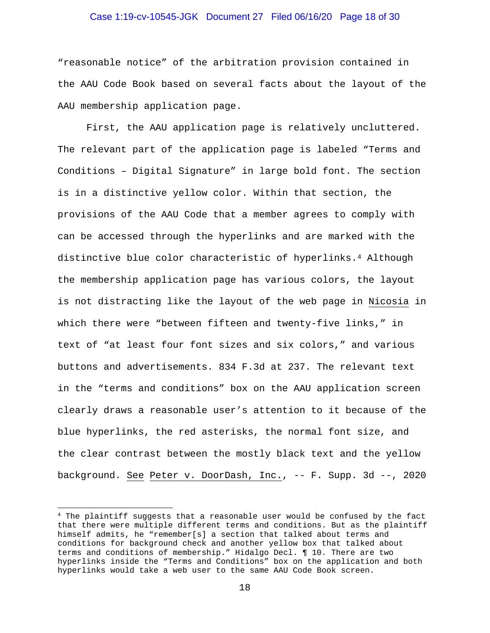# Case 1:19-cv-10545-JGK Document 27 Filed 06/16/20 Page 18 of 30

"reasonable notice" of the arbitration provision contained in the AAU Code Book based on several facts about the layout of the AAU membership application page.

First, the AAU application page is relatively uncluttered. The relevant part of the application page is labeled "Terms and Conditions – Digital Signature" in large bold font. The section is in a distinctive yellow color. Within that section, the provisions of the AAU Code that a member agrees to comply with can be accessed through the hyperlinks and are marked with the distinctive blue color characteristic of hyperlinks.4 Although the membership application page has various colors, the layout is not distracting like the layout of the web page in Nicosia in which there were "between fifteen and twenty-five links," in text of "at least four font sizes and six colors," and various buttons and advertisements. 834 F.3d at 237. The relevant text in the "terms and conditions" box on the AAU application screen clearly draws a reasonable user's attention to it because of the blue hyperlinks, the red asterisks, the normal font size, and the clear contrast between the mostly black text and the yellow background. See Peter v. DoorDash, Inc., -- F. Supp. 3d --, 2020

<sup>&</sup>lt;sup>4</sup> The plaintiff suggests that a reasonable user would be confused by the fact that there were multiple different terms and conditions. But as the plaintiff himself admits, he "remember[s] a section that talked about terms and conditions for background check and another yellow box that talked about terms and conditions of membership." Hidalgo Decl. ¶ 10. There are two hyperlinks inside the "Terms and Conditions" box on the application and both hyperlinks would take a web user to the same AAU Code Book screen.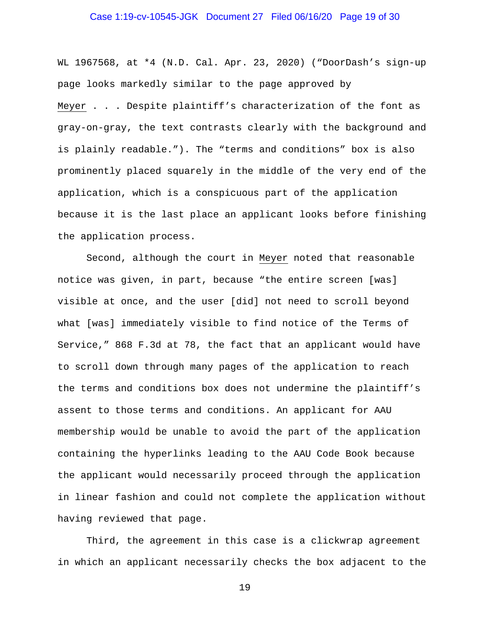# Case 1:19-cv-10545-JGK Document 27 Filed 06/16/20 Page 19 of 30

WL 1967568, at \*4 (N.D. Cal. Apr. 23, 2020) ("DoorDash's sign-up page looks markedly similar to the page approved by Meyer . . . Despite plaintiff's characterization of the font as gray-on-gray, the text contrasts clearly with the background and is plainly readable."). The "terms and conditions" box is also prominently placed squarely in the middle of the very end of the application, which is a conspicuous part of the application because it is the last place an applicant looks before finishing the application process.

Second, although the court in Meyer noted that reasonable notice was given, in part, because "the entire screen [was] visible at once, and the user [did] not need to scroll beyond what [was] immediately visible to find notice of the Terms of Service," 868 F.3d at 78, the fact that an applicant would have to scroll down through many pages of the application to reach the terms and conditions box does not undermine the plaintiff's assent to those terms and conditions. An applicant for AAU membership would be unable to avoid the part of the application containing the hyperlinks leading to the AAU Code Book because the applicant would necessarily proceed through the application in linear fashion and could not complete the application without having reviewed that page.

Third, the agreement in this case is a clickwrap agreement in which an applicant necessarily checks the box adjacent to the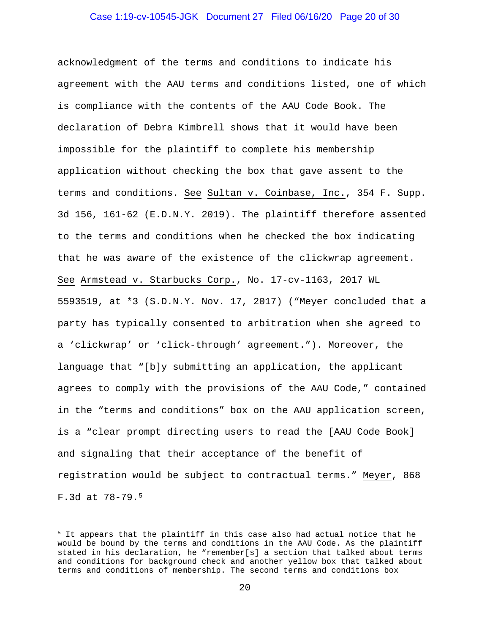# Case 1:19-cv-10545-JGK Document 27 Filed 06/16/20 Page 20 of 30

acknowledgment of the terms and conditions to indicate his agreement with the AAU terms and conditions listed, one of which is compliance with the contents of the AAU Code Book. The declaration of Debra Kimbrell shows that it would have been impossible for the plaintiff to complete his membership application without checking the box that gave assent to the terms and conditions. See Sultan v. Coinbase, Inc., 354 F. Supp. 3d 156, 161-62 (E.D.N.Y. 2019). The plaintiff therefore assented to the terms and conditions when he checked the box indicating that he was aware of the existence of the clickwrap agreement. See Armstead v. Starbucks Corp., No. 17-cv-1163, 2017 WL 5593519, at \*3 (S.D.N.Y. Nov. 17, 2017) ("Meyer concluded that a party has typically consented to arbitration when she agreed to a 'clickwrap' or 'click-through' agreement."). Moreover, the language that "[b]y submitting an application, the applicant agrees to comply with the provisions of the AAU Code," contained in the "terms and conditions" box on the AAU application screen, is a "clear prompt directing users to read the [AAU Code Book] and signaling that their acceptance of the benefit of registration would be subject to contractual terms." Meyer, 868 F.3d at 78-79.5

<sup>&</sup>lt;sup>5</sup> It appears that the plaintiff in this case also had actual notice that he would be bound by the terms and conditions in the AAU Code. As the plaintiff stated in his declaration, he "remember[s] a section that talked about terms and conditions for background check and another yellow box that talked about terms and conditions of membership. The second terms and conditions box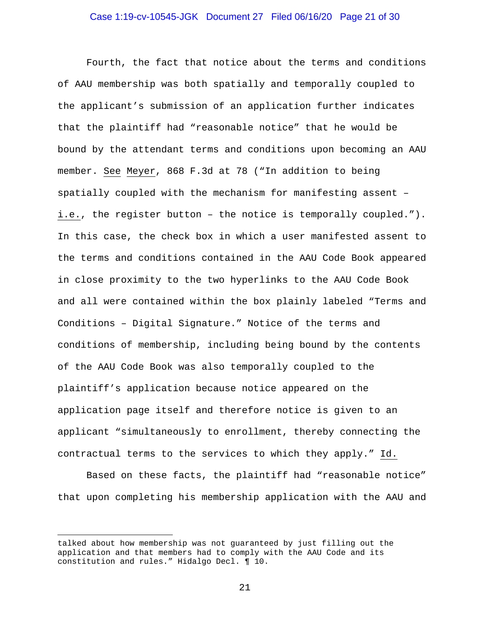# Case 1:19-cv-10545-JGK Document 27 Filed 06/16/20 Page 21 of 30

Fourth, the fact that notice about the terms and conditions of AAU membership was both spatially and temporally coupled to the applicant's submission of an application further indicates that the plaintiff had "reasonable notice" that he would be bound by the attendant terms and conditions upon becoming an AAU member. See Meyer, 868 F.3d at 78 ("In addition to being spatially coupled with the mechanism for manifesting assent – i.e., the register button – the notice is temporally coupled."). In this case, the check box in which a user manifested assent to the terms and conditions contained in the AAU Code Book appeared in close proximity to the two hyperlinks to the AAU Code Book and all were contained within the box plainly labeled "Terms and Conditions – Digital Signature." Notice of the terms and conditions of membership, including being bound by the contents of the AAU Code Book was also temporally coupled to the plaintiff's application because notice appeared on the application page itself and therefore notice is given to an applicant "simultaneously to enrollment, thereby connecting the contractual terms to the services to which they apply." Id.

Based on these facts, the plaintiff had "reasonable notice" that upon completing his membership application with the AAU and

talked about how membership was not guaranteed by just filling out the application and that members had to comply with the AAU Code and its constitution and rules." Hidalgo Decl. ¶ 10.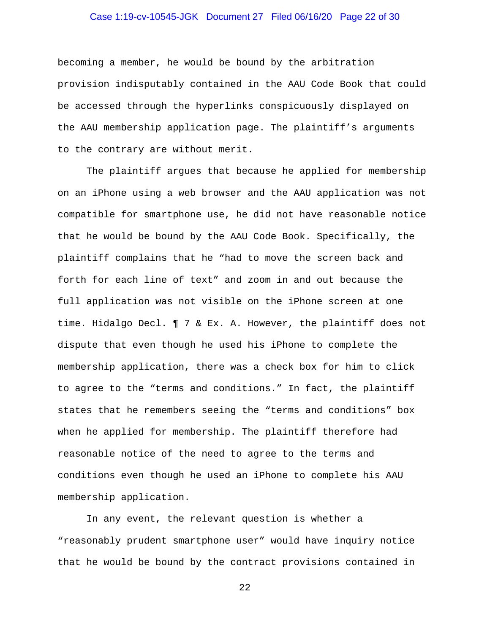# Case 1:19-cv-10545-JGK Document 27 Filed 06/16/20 Page 22 of 30

becoming a member, he would be bound by the arbitration provision indisputably contained in the AAU Code Book that could be accessed through the hyperlinks conspicuously displayed on the AAU membership application page. The plaintiff's arguments to the contrary are without merit.

The plaintiff argues that because he applied for membership on an iPhone using a web browser and the AAU application was not compatible for smartphone use, he did not have reasonable notice that he would be bound by the AAU Code Book. Specifically, the plaintiff complains that he "had to move the screen back and forth for each line of text" and zoom in and out because the full application was not visible on the iPhone screen at one time. Hidalgo Decl. ¶ 7 & Ex. A. However, the plaintiff does not dispute that even though he used his iPhone to complete the membership application, there was a check box for him to click to agree to the "terms and conditions." In fact, the plaintiff states that he remembers seeing the "terms and conditions" box when he applied for membership. The plaintiff therefore had reasonable notice of the need to agree to the terms and conditions even though he used an iPhone to complete his AAU membership application.

In any event, the relevant question is whether a "reasonably prudent smartphone user" would have inquiry notice that he would be bound by the contract provisions contained in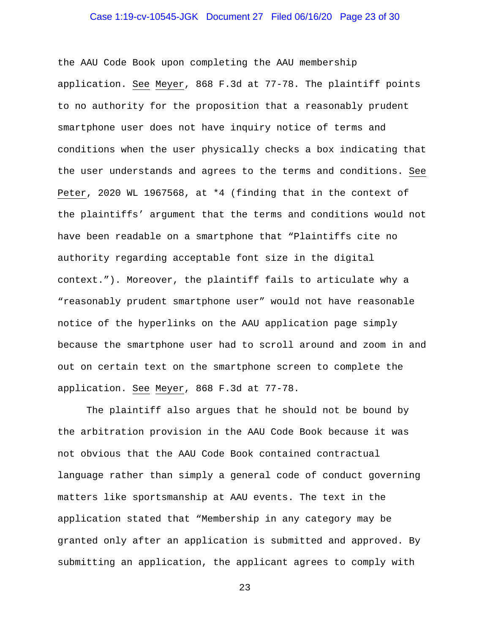# Case 1:19-cv-10545-JGK Document 27 Filed 06/16/20 Page 23 of 30

the AAU Code Book upon completing the AAU membership application. See Meyer, 868 F.3d at 77-78. The plaintiff points to no authority for the proposition that a reasonably prudent smartphone user does not have inquiry notice of terms and conditions when the user physically checks a box indicating that the user understands and agrees to the terms and conditions. See Peter, 2020 WL 1967568, at \*4 (finding that in the context of the plaintiffs' argument that the terms and conditions would not have been readable on a smartphone that "Plaintiffs cite no authority regarding acceptable font size in the digital context."). Moreover, the plaintiff fails to articulate why a "reasonably prudent smartphone user" would not have reasonable notice of the hyperlinks on the AAU application page simply because the smartphone user had to scroll around and zoom in and out on certain text on the smartphone screen to complete the application. See Meyer, 868 F.3d at 77-78.

The plaintiff also argues that he should not be bound by the arbitration provision in the AAU Code Book because it was not obvious that the AAU Code Book contained contractual language rather than simply a general code of conduct governing matters like sportsmanship at AAU events. The text in the application stated that "Membership in any category may be granted only after an application is submitted and approved. By submitting an application, the applicant agrees to comply with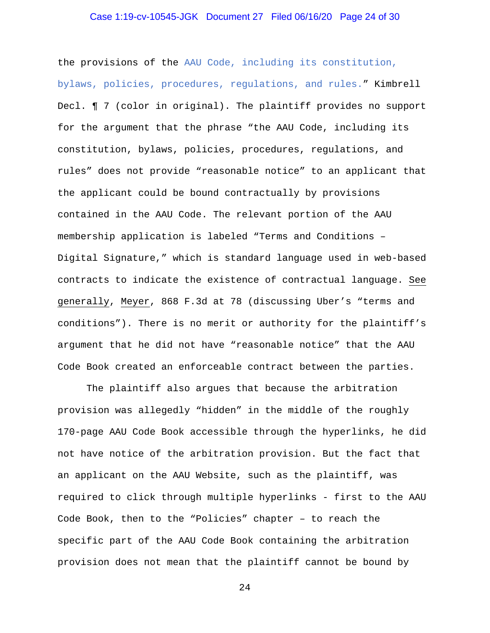# Case 1:19-cv-10545-JGK Document 27 Filed 06/16/20 Page 24 of 30

the provisions of the AAU Code, including its constitution, bylaws, policies, procedures, regulations, and rules." Kimbrell Decl. ¶ 7 (color in original). The plaintiff provides no support for the argument that the phrase "the AAU Code, including its constitution, bylaws, policies, procedures, regulations, and rules" does not provide "reasonable notice" to an applicant that the applicant could be bound contractually by provisions contained in the AAU Code. The relevant portion of the AAU membership application is labeled "Terms and Conditions – Digital Signature," which is standard language used in web-based contracts to indicate the existence of contractual language. See generally, Meyer, 868 F.3d at 78 (discussing Uber's "terms and conditions"). There is no merit or authority for the plaintiff's argument that he did not have "reasonable notice" that the AAU Code Book created an enforceable contract between the parties.

The plaintiff also argues that because the arbitration provision was allegedly "hidden" in the middle of the roughly 170-page AAU Code Book accessible through the hyperlinks, he did not have notice of the arbitration provision. But the fact that an applicant on the AAU Website, such as the plaintiff, was required to click through multiple hyperlinks - first to the AAU Code Book, then to the "Policies" chapter – to reach the specific part of the AAU Code Book containing the arbitration provision does not mean that the plaintiff cannot be bound by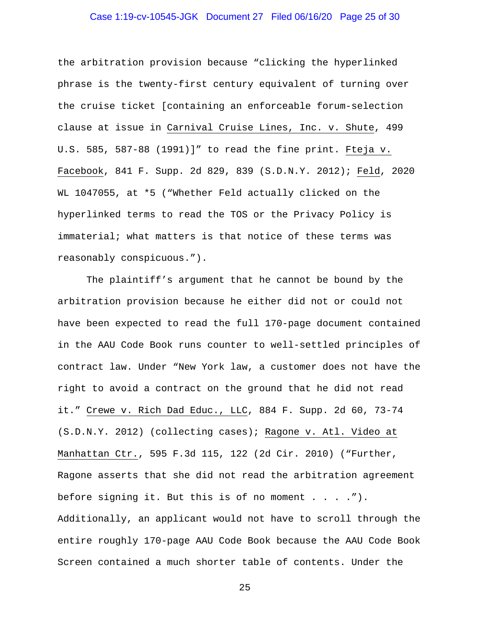# Case 1:19-cv-10545-JGK Document 27 Filed 06/16/20 Page 25 of 30

the arbitration provision because "clicking the hyperlinked phrase is the twenty-first century equivalent of turning over the cruise ticket [containing an enforceable forum-selection clause at issue in Carnival Cruise Lines, Inc. v. Shute, 499 U.S. 585, 587-88 (1991)]" to read the fine print. Fteja v. Facebook, 841 F. Supp. 2d 829, 839 (S.D.N.Y. 2012); Feld, 2020 WL 1047055, at \*5 ("Whether Feld actually clicked on the hyperlinked terms to read the TOS or the Privacy Policy is immaterial; what matters is that notice of these terms was reasonably conspicuous.").

The plaintiff's argument that he cannot be bound by the arbitration provision because he either did not or could not have been expected to read the full 170-page document contained in the AAU Code Book runs counter to well-settled principles of contract law. Under "New York law, a customer does not have the right to avoid a contract on the ground that he did not read it." Crewe v. Rich Dad Educ., LLC, 884 F. Supp. 2d 60, 73-74 (S.D.N.Y. 2012) (collecting cases); Ragone v. Atl. Video at Manhattan Ctr., 595 F.3d 115, 122 (2d Cir. 2010) ("Further, Ragone asserts that she did not read the arbitration agreement before signing it. But this is of no moment . . . ."). Additionally, an applicant would not have to scroll through the entire roughly 170-page AAU Code Book because the AAU Code Book Screen contained a much shorter table of contents. Under the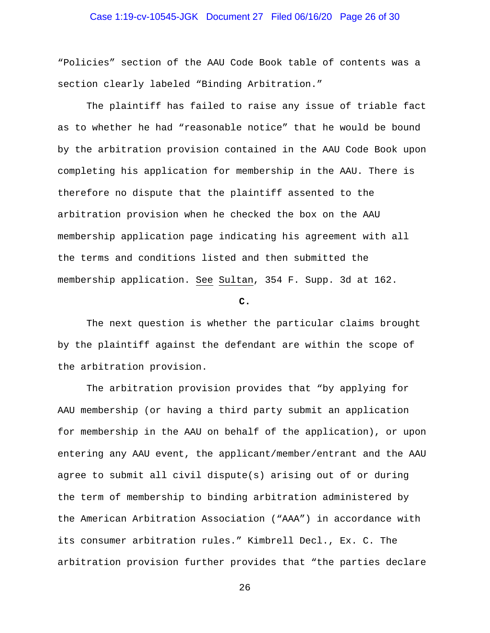# Case 1:19-cv-10545-JGK Document 27 Filed 06/16/20 Page 26 of 30

"Policies" section of the AAU Code Book table of contents was a section clearly labeled "Binding Arbitration."

The plaintiff has failed to raise any issue of triable fact as to whether he had "reasonable notice" that he would be bound by the arbitration provision contained in the AAU Code Book upon completing his application for membership in the AAU. There is therefore no dispute that the plaintiff assented to the arbitration provision when he checked the box on the AAU membership application page indicating his agreement with all the terms and conditions listed and then submitted the membership application. See Sultan, 354 F. Supp. 3d at 162.

**C.**

The next question is whether the particular claims brought by the plaintiff against the defendant are within the scope of the arbitration provision.

The arbitration provision provides that "by applying for AAU membership (or having a third party submit an application for membership in the AAU on behalf of the application), or upon entering any AAU event, the applicant/member/entrant and the AAU agree to submit all civil dispute(s) arising out of or during the term of membership to binding arbitration administered by the American Arbitration Association ("AAA") in accordance with its consumer arbitration rules." Kimbrell Decl., Ex. C. The arbitration provision further provides that "the parties declare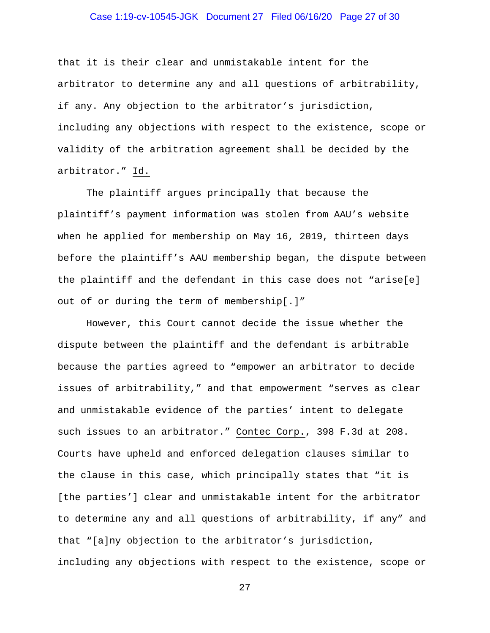# Case 1:19-cv-10545-JGK Document 27 Filed 06/16/20 Page 27 of 30

that it is their clear and unmistakable intent for the arbitrator to determine any and all questions of arbitrability, if any. Any objection to the arbitrator's jurisdiction, including any objections with respect to the existence, scope or validity of the arbitration agreement shall be decided by the arbitrator." Id.

The plaintiff argues principally that because the plaintiff's payment information was stolen from AAU's website when he applied for membership on May 16, 2019, thirteen days before the plaintiff's AAU membership began, the dispute between the plaintiff and the defendant in this case does not "arise[e] out of or during the term of membership[.]"

However, this Court cannot decide the issue whether the dispute between the plaintiff and the defendant is arbitrable because the parties agreed to "empower an arbitrator to decide issues of arbitrability," and that empowerment "serves as clear and unmistakable evidence of the parties' intent to delegate such issues to an arbitrator." Contec Corp., 398 F.3d at 208. Courts have upheld and enforced delegation clauses similar to the clause in this case, which principally states that "it is [the parties'] clear and unmistakable intent for the arbitrator to determine any and all questions of arbitrability, if any" and that "[a]ny objection to the arbitrator's jurisdiction, including any objections with respect to the existence, scope or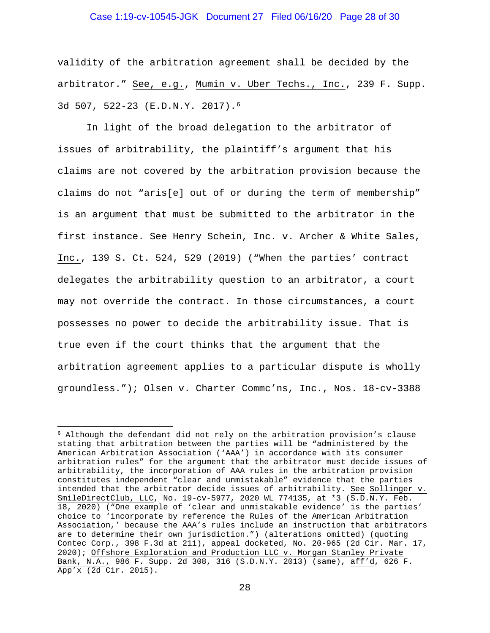# Case 1:19-cv-10545-JGK Document 27 Filed 06/16/20 Page 28 of 30

validity of the arbitration agreement shall be decided by the arbitrator." See, e.g., Mumin v. Uber Techs., Inc., 239 F. Supp. 3d 507, 522-23 (E.D.N.Y. 2017).6

In light of the broad delegation to the arbitrator of issues of arbitrability, the plaintiff's argument that his claims are not covered by the arbitration provision because the claims do not "aris[e] out of or during the term of membership" is an argument that must be submitted to the arbitrator in the first instance. See Henry Schein, Inc. v. Archer & White Sales, Inc., 139 S. Ct. 524, 529 (2019) ("When the parties' contract delegates the arbitrability question to an arbitrator, a court may not override the contract. In those circumstances, a court possesses no power to decide the arbitrability issue. That is true even if the court thinks that the argument that the arbitration agreement applies to a particular dispute is wholly groundless."); Olsen v. Charter Commc'ns, Inc., Nos. 18-cv-3388

<sup>6</sup> Although the defendant did not rely on the arbitration provision's clause stating that arbitration between the parties will be "administered by the American Arbitration Association ('AAA') in accordance with its consumer arbitration rules" for the argument that the arbitrator must decide issues of arbitrability, the incorporation of AAA rules in the arbitration provision constitutes independent "clear and unmistakable" evidence that the parties intended that the arbitrator decide issues of arbitrability. See Sollinger v. SmileDirectClub, LLC, No. 19-cv-5977, 2020 WL 774135, at \*3 (S.D.N.Y. Feb. 18, 2020) ("One example of 'clear and unmistakable evidence' is the parties' choice to 'incorporate by reference the Rules of the American Arbitration Association,' because the AAA's rules include an instruction that arbitrators are to determine their own jurisdiction.") (alterations omitted) (quoting Contec Corp., 398 F.3d at 211), appeal docketed, No. 20-965 (2d Cir. Mar. 17, 2020); Offshore Exploration and Production LLC v. Morgan Stanley Private Bank, N.A., 986 F. Supp. 2d 308, 316 (S.D.N.Y. 2013) (same), aff'd, 626 F. App'x (2d Cir. 2015).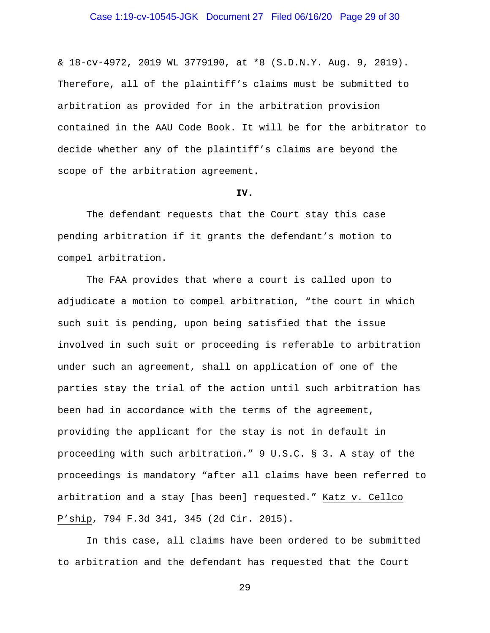# Case 1:19-cv-10545-JGK Document 27 Filed 06/16/20 Page 29 of 30

& 18-cv-4972, 2019 WL 3779190, at \*8 (S.D.N.Y. Aug. 9, 2019). Therefore, all of the plaintiff's claims must be submitted to arbitration as provided for in the arbitration provision contained in the AAU Code Book. It will be for the arbitrator to decide whether any of the plaintiff's claims are beyond the scope of the arbitration agreement.

#### **IV.**

The defendant requests that the Court stay this case pending arbitration if it grants the defendant's motion to compel arbitration.

The FAA provides that where a court is called upon to adjudicate a motion to compel arbitration, "the court in which such suit is pending, upon being satisfied that the issue involved in such suit or proceeding is referable to arbitration under such an agreement, shall on application of one of the parties stay the trial of the action until such arbitration has been had in accordance with the terms of the agreement, providing the applicant for the stay is not in default in proceeding with such arbitration." 9 U.S.C. § 3. A stay of the proceedings is mandatory "after all claims have been referred to arbitration and a stay [has been] requested." Katz v. Cellco P'ship, 794 F.3d 341, 345 (2d Cir. 2015).

In this case, all claims have been ordered to be submitted to arbitration and the defendant has requested that the Court